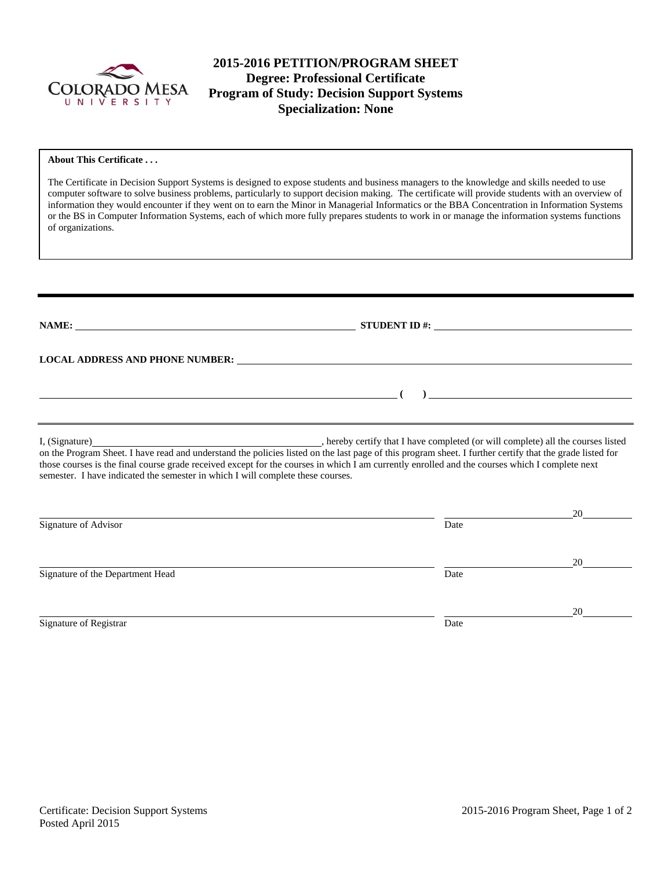

# **2015-2016 PETITION/PROGRAM SHEET Degree: Professional Certificate Program of Study: Decision Support Systems Specialization: None**

#### **About This Certificate . . .**

The Certificate in Decision Support Systems is designed to expose students and business managers to the knowledge and skills needed to use computer software to solve business problems, particularly to support decision making. The certificate will provide students with an overview of information they would encounter if they went on to earn the Minor in Managerial Informatics or the BBA Concentration in Information Systems or the BS in Computer Information Systems, each of which more fully prepares students to work in or manage the information systems functions of organizations.

| NAME:                                                                           | STUDENT ID $\#$ :                                                                                                                                                                                                             |    |
|---------------------------------------------------------------------------------|-------------------------------------------------------------------------------------------------------------------------------------------------------------------------------------------------------------------------------|----|
|                                                                                 | LOCAL ADDRESS AND PHONE NUMBER: University of the contract of the contract of the contract of the contract of the contract of the contract of the contract of the contract of the contract of the contract of the contract of |    |
|                                                                                 |                                                                                                                                                                                                                               |    |
|                                                                                 |                                                                                                                                                                                                                               |    |
| semester. I have indicated the semester in which I will complete these courses. | those courses is the final course grade received except for the courses in which I am currently enrolled and the courses which I complete next                                                                                |    |
|                                                                                 |                                                                                                                                                                                                                               | 20 |
| Signature of Advisor                                                            | Date                                                                                                                                                                                                                          |    |
|                                                                                 |                                                                                                                                                                                                                               | 20 |
| Signature of the Department Head                                                | Date                                                                                                                                                                                                                          |    |
| Signature of Registrar                                                          | Date                                                                                                                                                                                                                          | 20 |